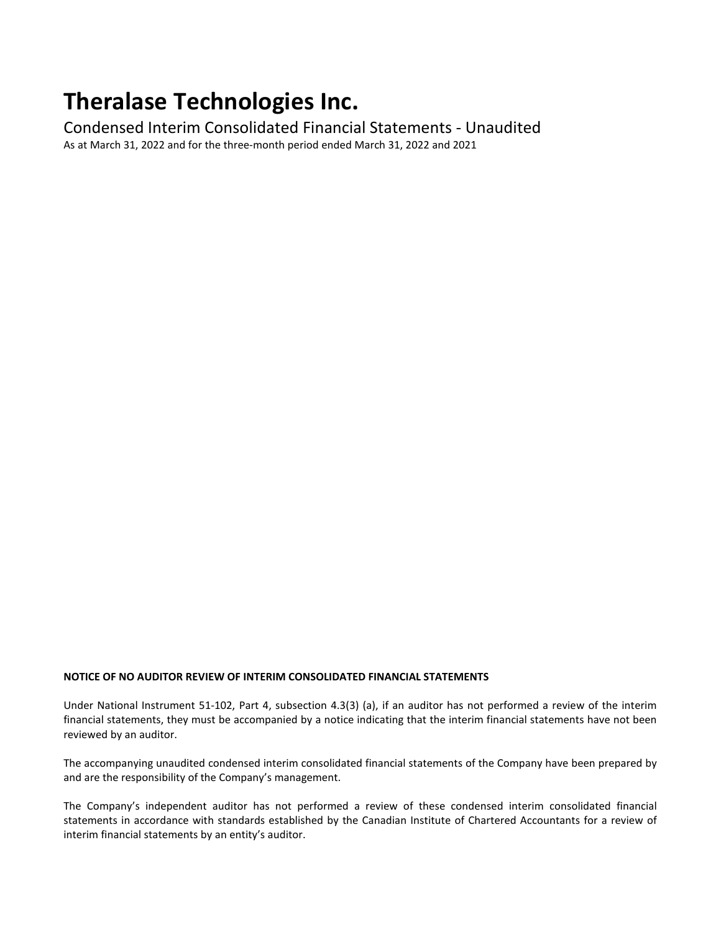# **Theralase Technologies Inc.**

Condensed Interim Consolidated Financial Statements - Unaudited As at March 31, 2022 and for the three-month period ended March 31, 2022 and 2021

#### **NOTICE OF NO AUDITOR REVIEW OF INTERIM CONSOLIDATED FINANCIAL STATEMENTS**

Under National Instrument 51-102, Part 4, subsection 4.3(3) (a), if an auditor has not performed a review of the interim financial statements, they must be accompanied by a notice indicating that the interim financial statements have not been reviewed by an auditor.

The accompanying unaudited condensed interim consolidated financial statements of the Company have been prepared by and are the responsibility of the Company's management.

The Company's independent auditor has not performed a review of these condensed interim consolidated financial statements in accordance with standards established by the Canadian Institute of Chartered Accountants for a review of interim financial statements by an entity's auditor.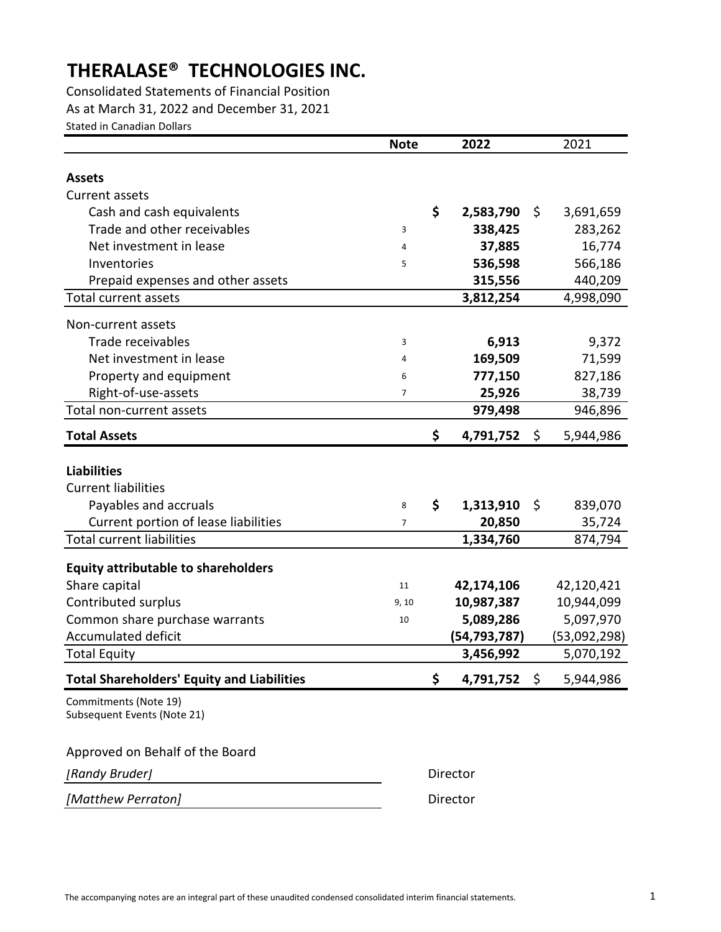As at March 31, 2022 and December 31, 2021 Stated in Canadian Dollars Consolidated Statements of Financial Position

|                                                                                                                   | <b>Note</b>         | 2022                        |      | 2021              |
|-------------------------------------------------------------------------------------------------------------------|---------------------|-----------------------------|------|-------------------|
| <b>Assets</b>                                                                                                     |                     |                             |      |                   |
| Current assets                                                                                                    |                     |                             |      |                   |
| Cash and cash equivalents                                                                                         |                     | \$<br>2,583,790             | \$   | 3,691,659         |
| Trade and other receivables                                                                                       | 3                   | 338,425                     |      | 283,262           |
| Net investment in lease                                                                                           | 4                   | 37,885                      |      | 16,774            |
| Inventories                                                                                                       | 5                   | 536,598                     |      | 566,186           |
| Prepaid expenses and other assets                                                                                 |                     | 315,556                     |      | 440,209           |
| Total current assets                                                                                              |                     | 3,812,254                   |      | 4,998,090         |
|                                                                                                                   |                     |                             |      |                   |
| Non-current assets                                                                                                |                     |                             |      |                   |
| Trade receivables                                                                                                 | 3                   | 6,913                       |      | 9,372             |
| Net investment in lease                                                                                           | 4                   | 169,509                     |      | 71,599            |
| Property and equipment                                                                                            | 6                   | 777,150                     |      | 827,186           |
| Right-of-use-assets                                                                                               | $\overline{7}$      | 25,926                      |      | 38,739            |
| Total non-current assets                                                                                          |                     | 979,498                     |      | 946,896           |
| <b>Total Assets</b>                                                                                               |                     | \$<br>4,791,752             | \$   | 5,944,986         |
| <b>Liabilities</b><br><b>Current liabilities</b><br>Payables and accruals<br>Current portion of lease liabilities | 8<br>$\overline{7}$ | \$<br>1,313,910<br>20,850   | \$   | 839,070<br>35,724 |
| <b>Total current liabilities</b>                                                                                  |                     | 1,334,760                   |      | 874,794           |
| <b>Equity attributable to shareholders</b>                                                                        |                     |                             |      |                   |
| Share capital                                                                                                     | 11                  | 42,174,106                  |      | 42,120,421        |
| Contributed surplus                                                                                               | 9, 10               | 10,987,387                  |      | 10,944,099        |
| Common share purchase warrants<br><b>Accumulated deficit</b>                                                      | 10                  | 5,089,286                   |      | 5,097,970         |
|                                                                                                                   |                     | (54, 793, 787)<br>3,456,992 |      | (53,092,298)      |
| <b>Total Equity</b>                                                                                               |                     |                             |      | 5,070,192         |
| <b>Total Shareholders' Equity and Liabilities</b>                                                                 |                     | \$<br>4,791,752             | - \$ | 5,944,986         |
| Commitments (Note 19)<br>Subsequent Events (Note 21)                                                              |                     |                             |      |                   |
| Approved on Behalf of the Board                                                                                   |                     |                             |      |                   |
| [Randy Bruder]                                                                                                    |                     | Director                    |      |                   |
| [Matthew Perraton]                                                                                                |                     | Director                    |      |                   |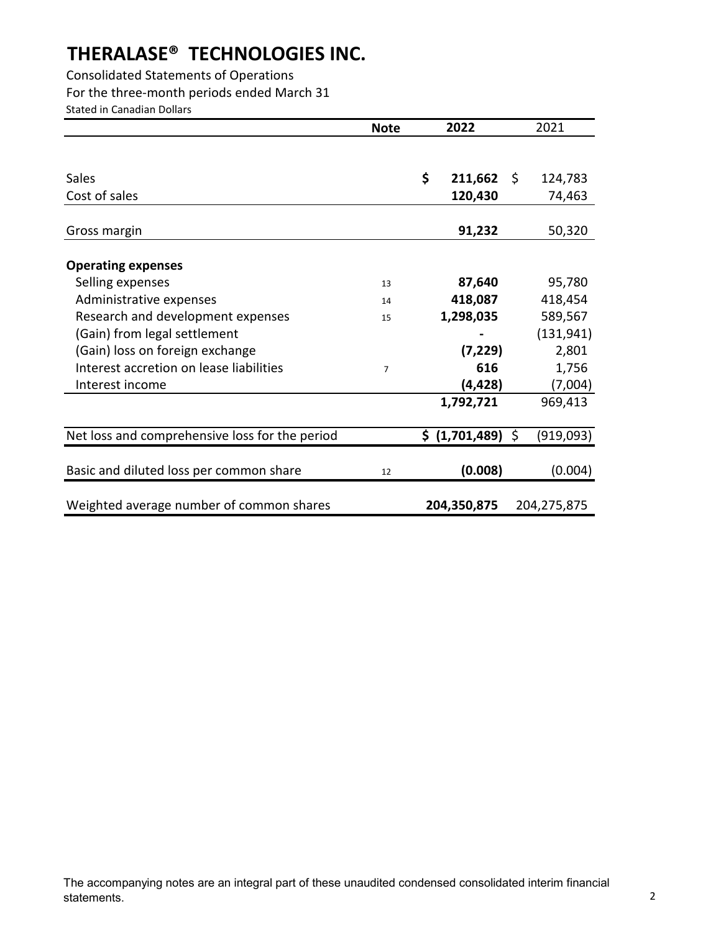Consolidated Statements of Operations For the three-month periods ended March 31 Stated in Canadian Dollars

|                                                | <b>Note</b>    | 2022                        | 2021        |
|------------------------------------------------|----------------|-----------------------------|-------------|
|                                                |                |                             |             |
|                                                |                |                             |             |
| Sales                                          |                | \$<br>$211,662 \quad \zeta$ | 124,783     |
| Cost of sales                                  |                | 120,430                     | 74,463      |
|                                                |                |                             |             |
| Gross margin                                   |                | 91,232                      | 50,320      |
|                                                |                |                             |             |
| <b>Operating expenses</b>                      |                |                             |             |
| Selling expenses                               | 13             | 87,640                      | 95,780      |
| Administrative expenses                        | 14             | 418,087                     | 418,454     |
| Research and development expenses              | 15             | 1,298,035                   | 589,567     |
| (Gain) from legal settlement                   |                |                             | (131, 941)  |
| (Gain) loss on foreign exchange                |                | (7, 229)                    | 2,801       |
| Interest accretion on lease liabilities        | $\overline{7}$ | 616                         | 1,756       |
| Interest income                                |                | (4, 428)                    | (7,004)     |
|                                                |                | 1,792,721                   | 969,413     |
|                                                |                |                             |             |
| Net loss and comprehensive loss for the period |                | \$ (1,701,489) \$           | (919,093)   |
|                                                |                |                             |             |
| Basic and diluted loss per common share        | 12             | (0.008)                     | (0.004)     |
|                                                |                |                             |             |
| Weighted average number of common shares       |                | 204,350,875                 | 204,275,875 |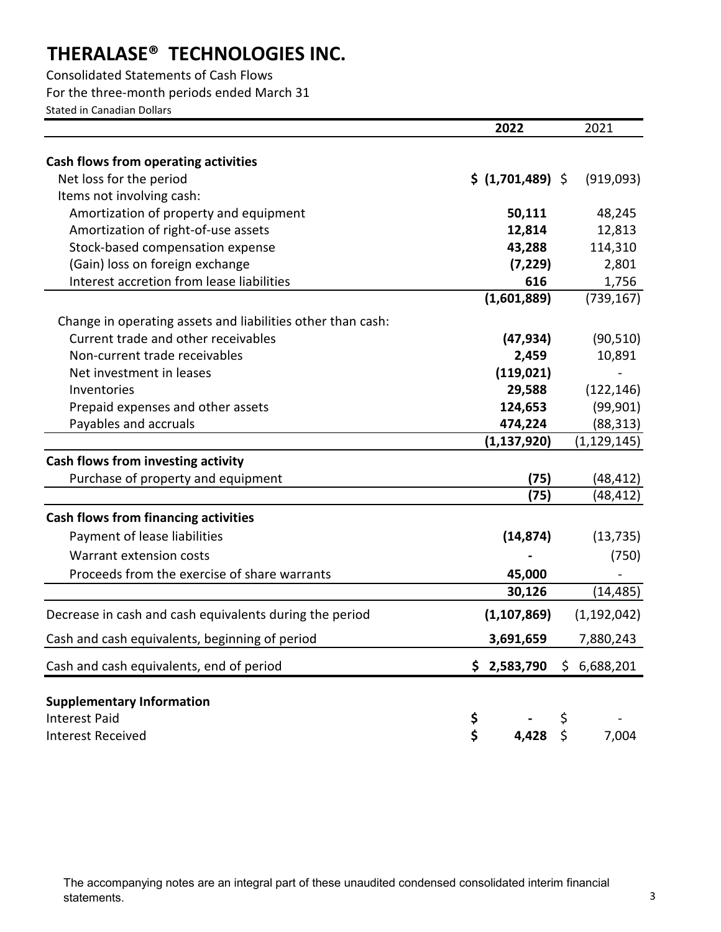Consolidated Statements of Cash Flows For the three-month periods ended March 31 Stated in Canadian Dollars

|                                                                              | 2022                     | 2021                |
|------------------------------------------------------------------------------|--------------------------|---------------------|
| Cash flows from operating activities                                         |                          |                     |
| Net loss for the period                                                      | \$ (1,701,489) \$        | (919,093)           |
| Items not involving cash:                                                    |                          |                     |
| Amortization of property and equipment                                       |                          |                     |
| Amortization of right-of-use assets                                          | 50,111<br>12,814         | 48,245<br>12,813    |
| Stock-based compensation expense                                             |                          | 114,310             |
|                                                                              | 43,288                   |                     |
| (Gain) loss on foreign exchange<br>Interest accretion from lease liabilities | (7, 229)<br>616          | 2,801               |
|                                                                              | (1,601,889)              | 1,756<br>(739, 167) |
|                                                                              |                          |                     |
| Change in operating assets and liabilities other than cash:                  |                          |                     |
| Current trade and other receivables                                          | (47, 934)                | (90, 510)           |
| Non-current trade receivables                                                | 2,459                    | 10,891              |
| Net investment in leases                                                     | (119, 021)               |                     |
| Inventories                                                                  | 29,588                   | (122, 146)          |
| Prepaid expenses and other assets                                            | 124,653                  | (99, 901)           |
| Payables and accruals                                                        | 474,224                  | (88, 313)           |
|                                                                              | (1, 137, 920)            | (1, 129, 145)       |
| Cash flows from investing activity                                           |                          |                     |
| Purchase of property and equipment                                           | (75)                     | (48,412)            |
|                                                                              | (75)                     | (48, 412)           |
| Cash flows from financing activities                                         |                          |                     |
| Payment of lease liabilities                                                 | (14, 874)                | (13, 735)           |
| Warrant extension costs                                                      |                          | (750)               |
| Proceeds from the exercise of share warrants                                 | 45,000                   |                     |
|                                                                              | 30,126                   | (14, 485)           |
| Decrease in cash and cash equivalents during the period                      | (1, 107, 869)            | (1, 192, 042)       |
| Cash and cash equivalents, beginning of period                               | 3,691,659                | 7,880,243           |
| Cash and cash equivalents, end of period                                     | $$2,583,790 \$6,688,201$ |                     |
|                                                                              |                          |                     |
| <b>Supplementary Information</b>                                             |                          |                     |
| <b>Interest Paid</b>                                                         | \$                       |                     |
| <b>Interest Received</b>                                                     | \$<br>4,428              | \$<br>7,004         |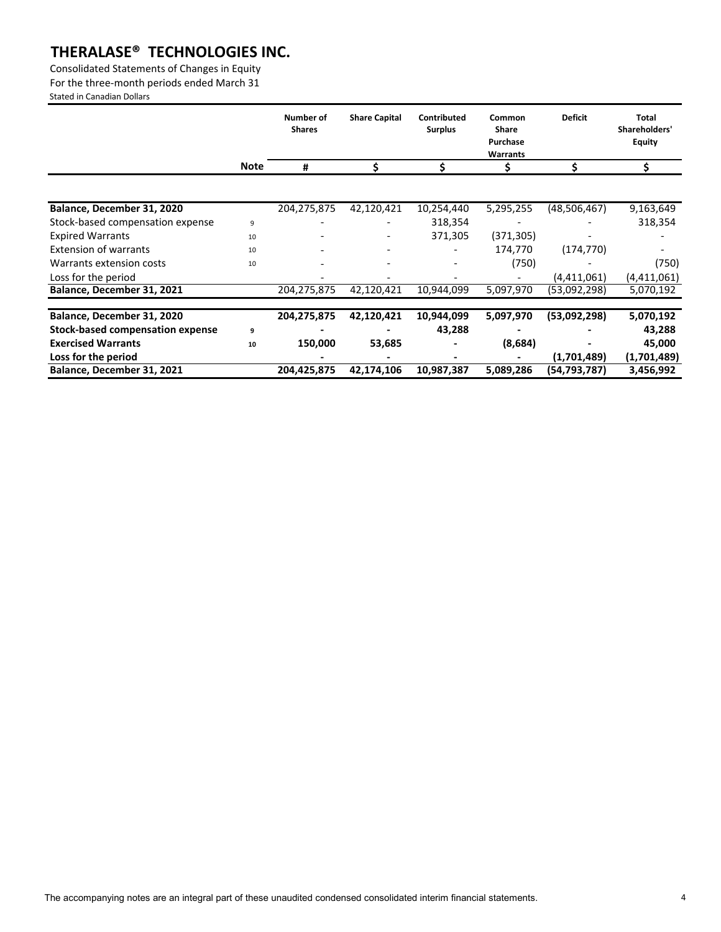Consolidated Statements of Changes in Equity

For the three-month periods ended March 31

Stated in Canadian Dollars

|                                         |             | Number of<br><b>Shares</b> | <b>Share Capital</b> | Contributed<br><b>Surplus</b> | Common<br><b>Share</b><br>Purchase<br>Warrants | <b>Deficit</b> | <b>Total</b><br>Shareholders'<br><b>Equity</b> |
|-----------------------------------------|-------------|----------------------------|----------------------|-------------------------------|------------------------------------------------|----------------|------------------------------------------------|
|                                         | <b>Note</b> | #                          |                      |                               |                                                |                |                                                |
|                                         |             |                            |                      |                               |                                                |                |                                                |
| Balance, December 31, 2020              |             | 204,275,875                | 42,120,421           | 10,254,440                    | 5,295,255                                      | (48,506,467)   | 9,163,649                                      |
| Stock-based compensation expense        | 9           |                            |                      | 318,354                       |                                                |                | 318,354                                        |
| <b>Expired Warrants</b>                 | 10          |                            |                      | 371,305                       | (371, 305)                                     |                |                                                |
| <b>Extension of warrants</b>            | 10          |                            |                      |                               | 174,770                                        | (174, 770)     |                                                |
| Warrants extension costs                | 10          |                            |                      |                               | (750)                                          |                | (750)                                          |
| Loss for the period                     |             |                            |                      |                               |                                                | (4,411,061)    | (4,411,061)                                    |
| Balance, December 31, 2021              |             | 204,275,875                | 42,120,421           | 10,944,099                    | 5,097,970                                      | (53,092,298)   | 5,070,192                                      |
|                                         |             |                            |                      |                               |                                                |                |                                                |
| Balance, December 31, 2020              |             | 204,275,875                | 42,120,421           | 10,944,099                    | 5,097,970                                      | (53,092,298)   | 5,070,192                                      |
| <b>Stock-based compensation expense</b> | 9           |                            |                      | 43,288                        |                                                |                | 43,288                                         |
| <b>Exercised Warrants</b>               | 10          | 150,000                    | 53,685               |                               | (8,684)                                        |                | 45,000                                         |
| Loss for the period                     |             |                            |                      |                               |                                                | (1,701,489)    | (1,701,489)                                    |
| Balance, December 31, 2021              |             | 204,425,875                | 42,174,106           | 10,987,387                    | 5,089,286                                      | (54,793,787)   | 3,456,992                                      |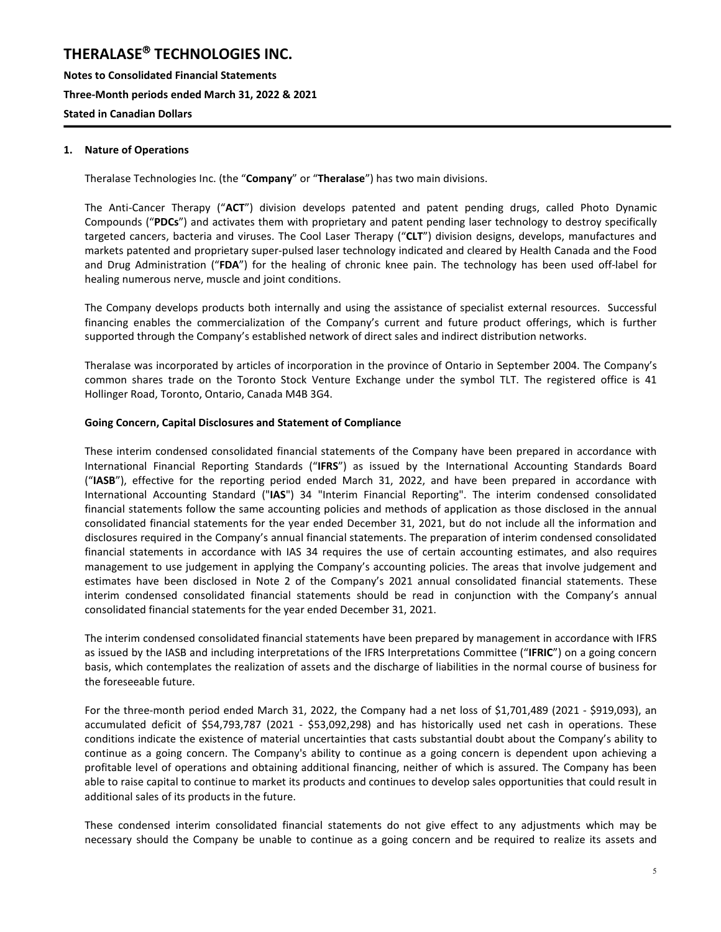**Notes to Consolidated Financial Statements Three-Month periods ended March 31, 2022 & 2021 Stated in Canadian Dollars**

#### **1. Nature of Operations**

Theralase Technologies Inc. (the "**Company**" or "**Theralase**") has two main divisions.

The Anti-Cancer Therapy ("**ACT**") division develops patented and patent pending drugs, called Photo Dynamic Compounds ("**PDCs**") and activates them with proprietary and patent pending laser technology to destroy specifically targeted cancers, bacteria and viruses. The Cool Laser Therapy ("**CLT**") division designs, develops, manufactures and markets patented and proprietary super-pulsed laser technology indicated and cleared by Health Canada and the Food and Drug Administration ("**FDA**") for the healing of chronic knee pain. The technology has been used off-label for healing numerous nerve, muscle and joint conditions.

The Company develops products both internally and using the assistance of specialist external resources. Successful financing enables the commercialization of the Company's current and future product offerings, which is further supported through the Company's established network of direct sales and indirect distribution networks.

Theralase was incorporated by articles of incorporation in the province of Ontario in September 2004. The Company's common shares trade on the Toronto Stock Venture Exchange under the symbol TLT. The registered office is 41 Hollinger Road, Toronto, Ontario, Canada M4B 3G4.

#### **Going Concern, Capital Disclosures and Statement of Compliance**

These interim condensed consolidated financial statements of the Company have been prepared in accordance with International Financial Reporting Standards ("**IFRS**") as issued by the International Accounting Standards Board ("**IASB**"), effective for the reporting period ended March 31, 2022, and have been prepared in accordance with International Accounting Standard ("**IAS**") 34 "Interim Financial Reporting". The interim condensed consolidated financial statements follow the same accounting policies and methods of application as those disclosed in the annual consolidated financial statements for the year ended December 31, 2021, but do not include all the information and disclosures required in the Company's annual financial statements. The preparation of interim condensed consolidated financial statements in accordance with IAS 34 requires the use of certain accounting estimates, and also requires management to use judgement in applying the Company's accounting policies. The areas that involve judgement and estimates have been disclosed in Note 2 of the Company's 2021 annual consolidated financial statements. These interim condensed consolidated financial statements should be read in conjunction with the Company's annual consolidated financial statements for the year ended December 31, 2021.

The interim condensed consolidated financial statements have been prepared by management in accordance with IFRS as issued by the IASB and including interpretations of the IFRS Interpretations Committee ("**IFRIC**") on a going concern basis, which contemplates the realization of assets and the discharge of liabilities in the normal course of business for the foreseeable future.

For the three-month period ended March 31, 2022, the Company had a net loss of \$1,701,489 (2021 - \$919,093), an accumulated deficit of \$54,793,787 (2021 - \$53,092,298) and has historically used net cash in operations. These conditions indicate the existence of material uncertainties that casts substantial doubt about the Company's ability to continue as a going concern. The Company's ability to continue as a going concern is dependent upon achieving a profitable level of operations and obtaining additional financing, neither of which is assured. The Company has been able to raise capital to continue to market its products and continues to develop sales opportunities that could result in additional sales of its products in the future.

These condensed interim consolidated financial statements do not give effect to any adjustments which may be necessary should the Company be unable to continue as a going concern and be required to realize its assets and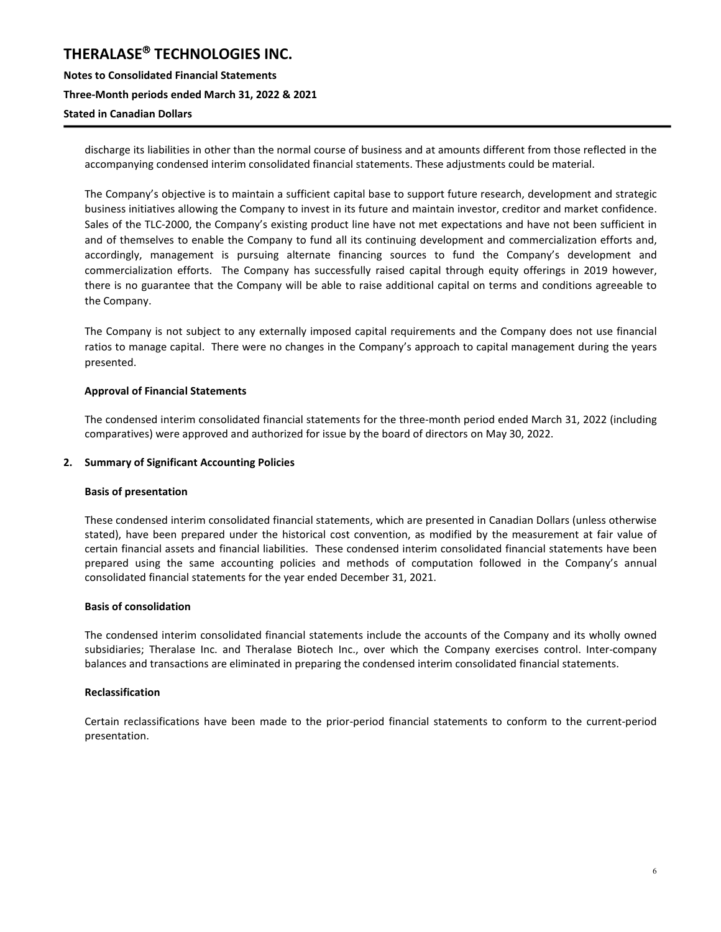**Notes to Consolidated Financial Statements Three-Month periods ended March 31, 2022 & 2021 Stated in Canadian Dollars**

discharge its liabilities in other than the normal course of business and at amounts different from those reflected in the accompanying condensed interim consolidated financial statements. These adjustments could be material.

The Company's objective is to maintain a sufficient capital base to support future research, development and strategic business initiatives allowing the Company to invest in its future and maintain investor, creditor and market confidence. Sales of the TLC-2000, the Company's existing product line have not met expectations and have not been sufficient in and of themselves to enable the Company to fund all its continuing development and commercialization efforts and, accordingly, management is pursuing alternate financing sources to fund the Company's development and commercialization efforts. The Company has successfully raised capital through equity offerings in 2019 however, there is no guarantee that the Company will be able to raise additional capital on terms and conditions agreeable to the Company.

The Company is not subject to any externally imposed capital requirements and the Company does not use financial ratios to manage capital. There were no changes in the Company's approach to capital management during the years presented.

#### **Approval of Financial Statements**

The condensed interim consolidated financial statements for the three-month period ended March 31, 2022 (including comparatives) were approved and authorized for issue by the board of directors on May 30, 2022.

#### **2. Summary of Significant Accounting Policies**

#### **Basis of presentation**

These condensed interim consolidated financial statements, which are presented in Canadian Dollars (unless otherwise stated), have been prepared under the historical cost convention, as modified by the measurement at fair value of certain financial assets and financial liabilities. These condensed interim consolidated financial statements have been prepared using the same accounting policies and methods of computation followed in the Company's annual consolidated financial statements for the year ended December 31, 2021.

#### **Basis of consolidation**

The condensed interim consolidated financial statements include the accounts of the Company and its wholly owned subsidiaries; Theralase Inc. and Theralase Biotech Inc., over which the Company exercises control. Inter-company balances and transactions are eliminated in preparing the condensed interim consolidated financial statements.

#### **Reclassification**

Certain reclassifications have been made to the prior-period financial statements to conform to the current-period presentation.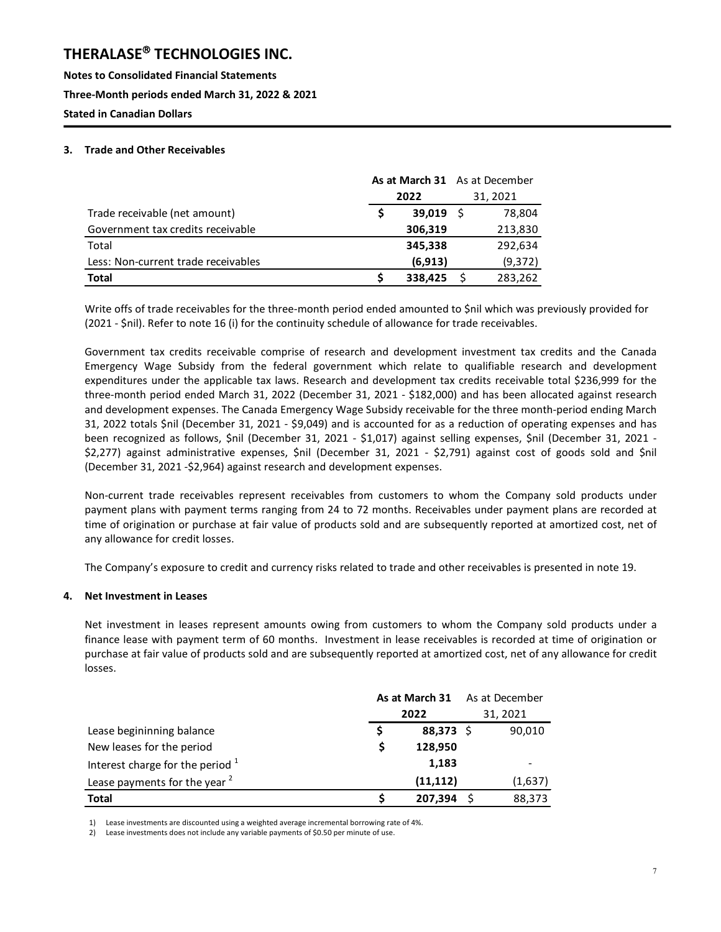**Notes to Consolidated Financial Statements Three-Month periods ended March 31, 2022 & 2021 Stated in Canadian Dollars**

#### **3. Trade and Other Receivables**

|                                     | As at March 31 As at December |          |          |         |  |
|-------------------------------------|-------------------------------|----------|----------|---------|--|
|                                     |                               | 2022     | 31, 2021 |         |  |
| Trade receivable (net amount)       |                               | 39,019   |          | 78.804  |  |
| Government tax credits receivable   |                               | 306,319  |          | 213,830 |  |
| Total                               |                               | 345,338  |          | 292,634 |  |
| Less: Non-current trade receivables |                               | (6, 913) |          | (9,372) |  |
| <b>Total</b>                        |                               | 338,425  |          | 283,262 |  |

Write offs of trade receivables for the three-month period ended amounted to \$nil which was previously provided for (2021 - \$nil). Refer to note 16 (i) for the continuity schedule of allowance for trade receivables.

Government tax credits receivable comprise of research and development investment tax credits and the Canada Emergency Wage Subsidy from the federal government which relate to qualifiable research and development expenditures under the applicable tax laws. Research and development tax credits receivable total \$236,999 for the three-month period ended March 31, 2022 (December 31, 2021 - \$182,000) and has been allocated against research and development expenses. The Canada Emergency Wage Subsidy receivable for the three month-period ending March 31, 2022 totals \$nil (December 31, 2021 - \$9,049) and is accounted for as a reduction of operating expenses and has been recognized as follows, \$nil (December 31, 2021 - \$1,017) against selling expenses, \$nil (December 31, 2021 - \$2,277) against administrative expenses, \$nil (December 31, 2021 - \$2,791) against cost of goods sold and \$nil (December 31, 2021 -\$2,964) against research and development expenses.

Non-current trade receivables represent receivables from customers to whom the Company sold products under payment plans with payment terms ranging from 24 to 72 months. Receivables under payment plans are recorded at time of origination or purchase at fair value of products sold and are subsequently reported at amortized cost, net of any allowance for credit losses.

The Company's exposure to credit and currency risks related to trade and other receivables is presented in note 19.

#### **4. Net Investment in Leases**

Net investment in leases represent amounts owing from customers to whom the Company sold products under a finance lease with payment term of 60 months. Investment in lease receivables is recorded at time of origination or purchase at fair value of products sold and are subsequently reported at amortized cost, net of any allowance for credit losses.

|                                          | As at March 31 |           |    | As at December |  |
|------------------------------------------|----------------|-----------|----|----------------|--|
|                                          | 2022           |           |    | 31, 2021       |  |
| Lease begininning balance                |                | 88,373    | -Ś | 90,010         |  |
| New leases for the period                | S              | 128,950   |    |                |  |
| Interest charge for the period $1$       |                | 1,183     |    |                |  |
| Lease payments for the year <sup>2</sup> |                | (11, 112) |    | (1,637)        |  |
| <b>Total</b>                             |                | 207,394   |    | 88,373         |  |

1) Lease investments are discounted using a weighted average incremental borrowing rate of 4%.

2) Lease investments does not include any variable payments of \$0.50 per minute of use.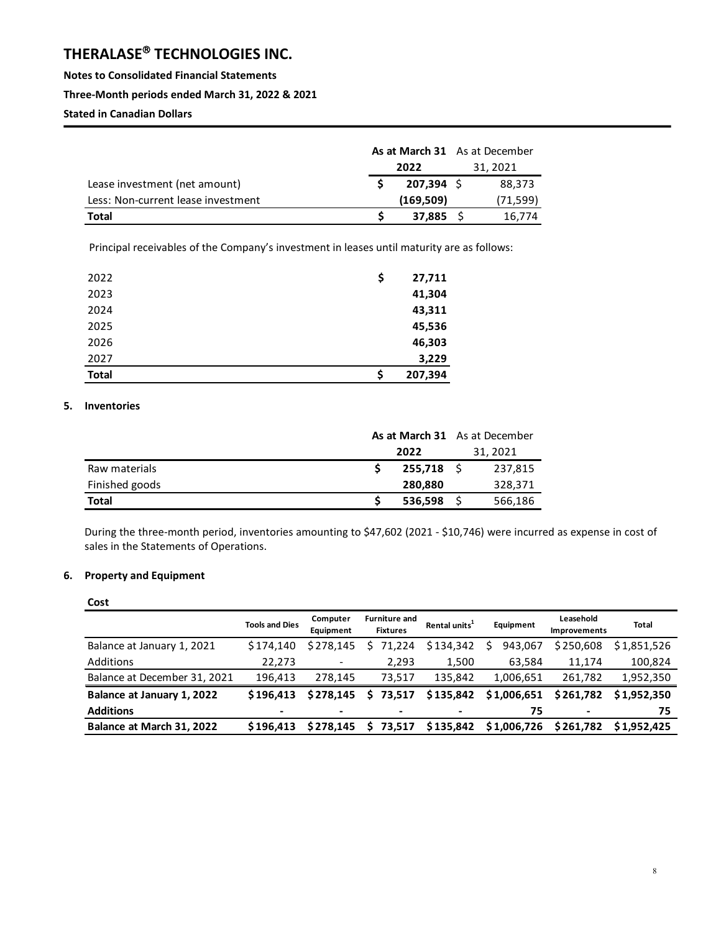**Notes to Consolidated Financial Statements** 

#### **Three-Month periods ended March 31, 2022 & 2021**

**Stated in Canadian Dollars**

|                                    | <b>As at March 31</b> As at December |              |  |          |  |  |
|------------------------------------|--------------------------------------|--------------|--|----------|--|--|
|                                    | 2022                                 |              |  | 31, 2021 |  |  |
| Lease investment (net amount)      |                                      | $207,394$ \$ |  | 88,373   |  |  |
| Less: Non-current lease investment |                                      | (169, 509)   |  | (71,599) |  |  |
| Total                              |                                      | 37,885       |  | 16,774   |  |  |

Principal receivables of the Company's investment in leases until maturity are as follows:

| 2022         | \$ | 27,711  |
|--------------|----|---------|
| 2023         |    | 41,304  |
| 2024         |    | 43,311  |
| 2025         |    | 45,536  |
| 2026         |    | 46,303  |
| 2027         |    | 3,229   |
| <b>Total</b> | Ś  | 207,394 |

#### **5. Inventories**

|                | As at March 31 As at December |              |  |          |
|----------------|-------------------------------|--------------|--|----------|
|                | 2022                          |              |  | 31, 2021 |
| Raw materials  |                               | 255.718 S    |  | 237,815  |
| Finished goods |                               | 280,880      |  | 328,371  |
| <b>Total</b>   |                               | $536,598$ \$ |  | 566,186  |

During the three-month period, inventories amounting to \$47,602 (2021 - \$10,746) were incurred as expense in cost of sales in the Statements of Operations.

#### **6. Property and Equipment**

| Cost                         |                       |                          |                                         |                           |             |                                  |              |
|------------------------------|-----------------------|--------------------------|-----------------------------------------|---------------------------|-------------|----------------------------------|--------------|
|                              | <b>Tools and Dies</b> | Computer<br>Equipment    | <b>Furniture and</b><br><b>Fixtures</b> | Rental units <sup>1</sup> | Equipment   | Leasehold<br><b>Improvements</b> | <b>Total</b> |
| Balance at January 1, 2021   | \$174.140             | \$278.145                | 71,224                                  | \$134,342                 | 943.067     | \$250,608                        | \$1,851,526  |
| <b>Additions</b>             | 22,273                | $\overline{\phantom{a}}$ | 2,293                                   | 1,500                     | 63,584      | 11,174                           | 100,824      |
| Balance at December 31, 2021 | 196.413               | 278.145                  | 73.517                                  | 135,842                   | 1,006,651   | 261.782                          | 1,952,350    |
| Balance at January 1, 2022   | \$196.413             | \$278.145                | S.<br>73,517                            | \$135,842                 | \$1,006,651 | \$261,782                        | \$1,952,350  |
| <b>Additions</b>             | -                     | $\,$                     |                                         |                           | 75          | $\blacksquare$                   | 75           |
| Balance at March 31, 2022    | \$196.413             | \$278.145                | 73.517<br>S.                            | \$135,842                 | \$1,006,726 | \$261.782                        | \$1,952,425  |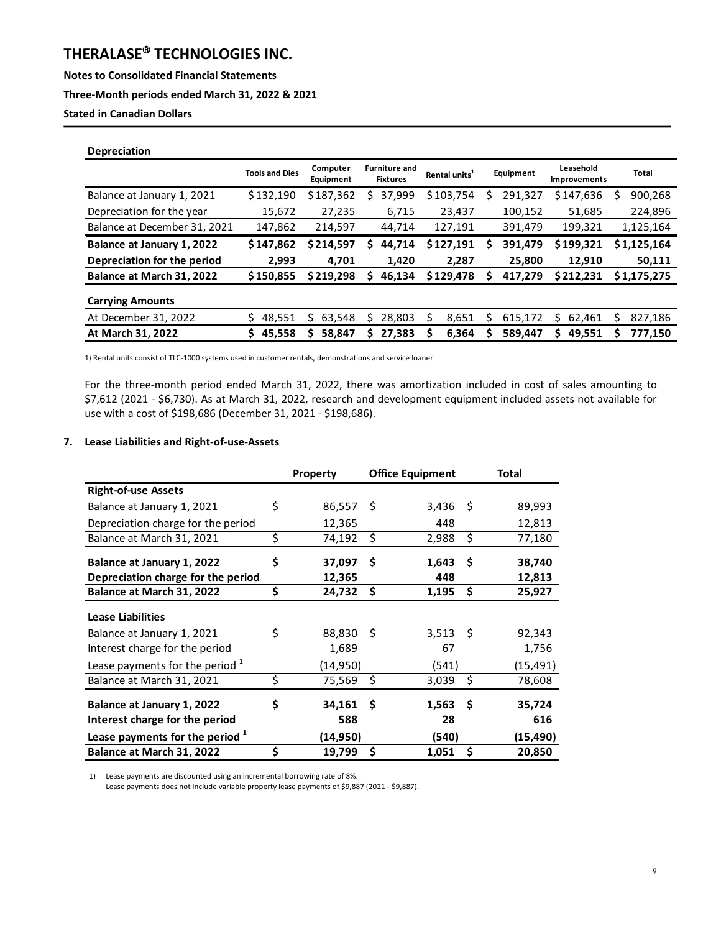**Notes to Consolidated Financial Statements** 

#### **Three-Month periods ended March 31, 2022 & 2021**

**Stated in Canadian Dollars**

| <b>Depreciation</b>          |                       |                       |                                         |                           |              |                           |             |
|------------------------------|-----------------------|-----------------------|-----------------------------------------|---------------------------|--------------|---------------------------|-------------|
|                              | <b>Tools and Dies</b> | Computer<br>Equipment | <b>Furniture and</b><br><b>Fixtures</b> | Rental units <sup>1</sup> | Equipment    | Leasehold<br>Improvements | Total       |
| Balance at January 1, 2021   | \$132,190             | \$187,362             | 37,999<br>s                             | \$103,754                 | 291,327<br>S | \$147,636                 | 900,268     |
| Depreciation for the year    | 15,672                | 27,235                | 6,715                                   | 23,437                    | 100,152      | 51,685                    | 224,896     |
| Balance at December 31, 2021 | 147,862               | 214,597               | 44,714                                  | 127,191                   | 391,479      | 199,321                   | 1,125,164   |
| Balance at January 1, 2022   | \$147,862             | \$214.597             | 44,714<br>S.                            | \$127,191                 | 391.479<br>s | \$199,321                 | \$1,125,164 |
| Depreciation for the period  | 2,993                 | 4.701                 | 1,420                                   | 2.287                     | 25,800       | 12.910                    | 50,111      |
| Balance at March 31, 2022    | \$150,855             | \$219.298             | 46,134                                  | \$129,478                 | 417.279      | \$212.231                 | \$1,175,275 |
| <b>Carrying Amounts</b>      |                       |                       |                                         |                           |              |                           |             |
| At December 31, 2022         | 48,551                | 63,548                | 28,803<br>Ś                             | 8,651<br>S                | 615,172      | 62,461<br>Ś               | 827,186     |
| At March 31, 2022            | 45,558                | 58,847                | 27.383<br>S                             | 6.364                     | 589,447      | 49,551<br>S               | 777,150     |

1) Rental units consist of TLC-1000 systems used in customer rentals, demonstrations and service loaner

For the three-month period ended March 31, 2022, there was amortization included in cost of sales amounting to \$7,612 (2021 - \$6,730). As at March 31, 2022, research and development equipment included assets not available for use with a cost of \$198,686 (December 31, 2021 - \$198,686).

#### **7. Lease Liabilities and Right-of-use-Assets**

|                                                              | <b>Property</b>     |      | <b>Office Equipment</b> |     | Total         |
|--------------------------------------------------------------|---------------------|------|-------------------------|-----|---------------|
| <b>Right-of-use Assets</b>                                   |                     |      |                         |     |               |
| Balance at January 1, 2021                                   | \$<br>86,557        | - \$ | 3,436                   | Ŝ   | 89,993        |
| Depreciation charge for the period                           | 12,365              |      | 448                     |     | 12,813        |
| Balance at March 31, 2021                                    | \$<br>74,192        | \$   | 2,988                   | \$  | 77,180        |
| Balance at January 1, 2022                                   | \$<br>37,097        | Ś    | 1,643                   | Ś   | 38,740        |
| Depreciation charge for the period                           | 12,365              |      | 448                     |     | 12,813        |
| Balance at March 31, 2022                                    | \$<br>24,732        | Ŝ.   | 1,195                   | \$  | 25,927        |
| <b>Lease Liabilities</b>                                     |                     |      |                         |     |               |
| Balance at January 1, 2021                                   | \$<br>88,830        | - \$ | $3,513$ \$              |     | 92,343        |
| Interest charge for the period                               | 1,689               |      | 67                      |     | 1,756         |
| Lease payments for the period $1$                            | (14,950)            |      | (541)                   |     | (15, 491)     |
| Balance at March 31, 2021                                    | \$<br>75,569        | \$   | 3,039                   | \$  | 78,608        |
| Balance at January 1, 2022<br>Interest charge for the period | \$<br>34,161<br>588 | Ŝ    | 1,563<br>28             | - Ś | 35,724<br>616 |
| Lease payments for the period <sup>1</sup>                   | (14,950)            |      | (540)                   |     | (15,490)      |
| Balance at March 31, 2022                                    | \$<br>19,799        | Ś    | 1,051                   | Ś   | 20,850        |

1) Lease payments are discounted using an incremental borrowing rate of 8%.

Lease payments does not include variable property lease payments of \$9,887 (2021 - \$9,887).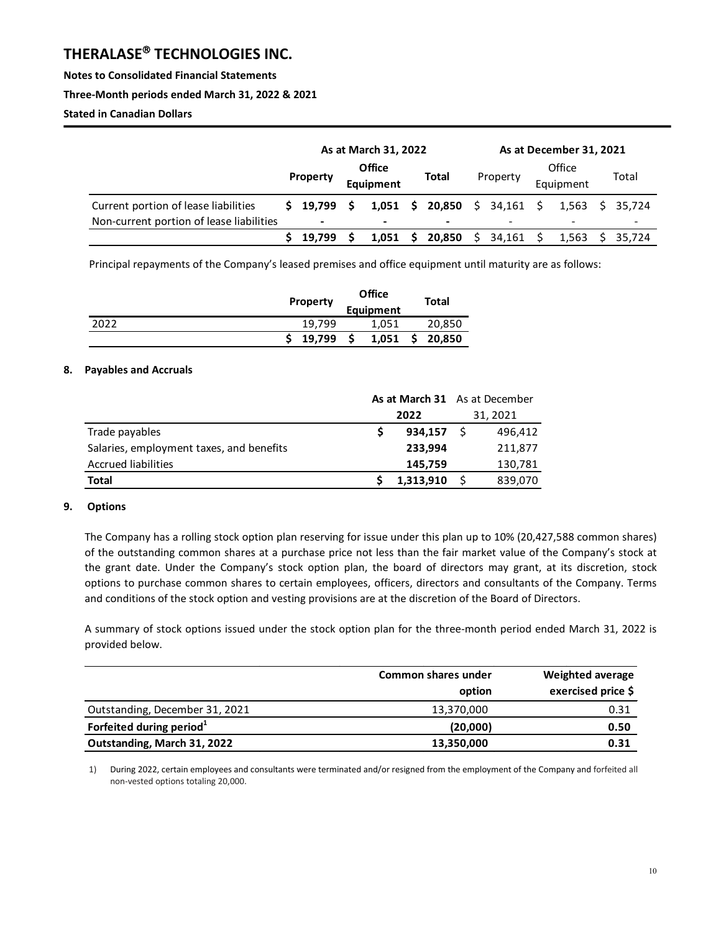**Notes to Consolidated Financial Statements** 

**Three-Month periods ended March 31, 2022 & 2021** 

**Stated in Canadian Dollars**

|                                          | As at March 31, 2022 |                          |                                            |       | As at December 31, 2021 |                              |                     |             |       |                          |  |                 |
|------------------------------------------|----------------------|--------------------------|--------------------------------------------|-------|-------------------------|------------------------------|---------------------|-------------|-------|--------------------------|--|-----------------|
|                                          |                      | <b>Property</b>          | <b>Office</b><br>Total<br><b>Equipment</b> |       | Property                |                              | Office<br>Equipment |             | Total |                          |  |                 |
| Current portion of lease liabilities     | s                    | 19.799                   | <b>S</b>                                   |       |                         | 1,051 \$ 20,850 \$ 34,161 \$ |                     |             |       |                          |  | 1.563 \$ 35.724 |
| Non-current portion of lease liabilities |                      | $\overline{\phantom{a}}$ |                                            | -     |                         | -                            |                     |             |       | $\overline{\phantom{a}}$ |  |                 |
|                                          |                      | 19.799                   |                                            | 1.051 | S.                      | $20,850 \quad \text{S}$      |                     | $34,161$ \$ |       | 1.563                    |  | 35.724          |

Principal repayments of the Company's leased premises and office equipment until maturity are as follows:

|      | Property | <b>Office</b><br>Equipment | Total  |
|------|----------|----------------------------|--------|
| 2022 | 19.799   | 1,051                      | 20,850 |
|      | 19,799   | 1,051                      | 20,850 |

#### **8. Payables and Accruals**

|                                          | As at March 31 As at December |           |  |          |
|------------------------------------------|-------------------------------|-----------|--|----------|
|                                          | 2022                          |           |  | 31, 2021 |
| Trade payables                           |                               | 934.157   |  | 496,412  |
| Salaries, employment taxes, and benefits |                               | 233,994   |  | 211,877  |
| <b>Accrued liabilities</b>               |                               | 145,759   |  | 130,781  |
| Total                                    |                               | 1,313,910 |  | 839,070  |

#### **9. Options**

The Company has a rolling stock option plan reserving for issue under this plan up to 10% (20,427,588 common shares) of the outstanding common shares at a purchase price not less than the fair market value of the Company's stock at the grant date. Under the Company's stock option plan, the board of directors may grant, at its discretion, stock options to purchase common shares to certain employees, officers, directors and consultants of the Company. Terms and conditions of the stock option and vesting provisions are at the discretion of the Board of Directors.

A summary of stock options issued under the stock option plan for the three-month period ended March 31, 2022 is provided below.

|                                      | Common shares under<br>option | <b>Weighted average</b><br>exercised price \$ |
|--------------------------------------|-------------------------------|-----------------------------------------------|
| Outstanding, December 31, 2021       | 13,370,000                    | 0.31                                          |
| Forfeited during period <sup>1</sup> | (20,000)                      | 0.50                                          |
| Outstanding, March 31, 2022          | 13,350,000                    | 0.31                                          |

1) During 2022, certain employees and consultants were terminated and/or resigned from the employment of the Company and forfeited all non-vested options totaling 20,000.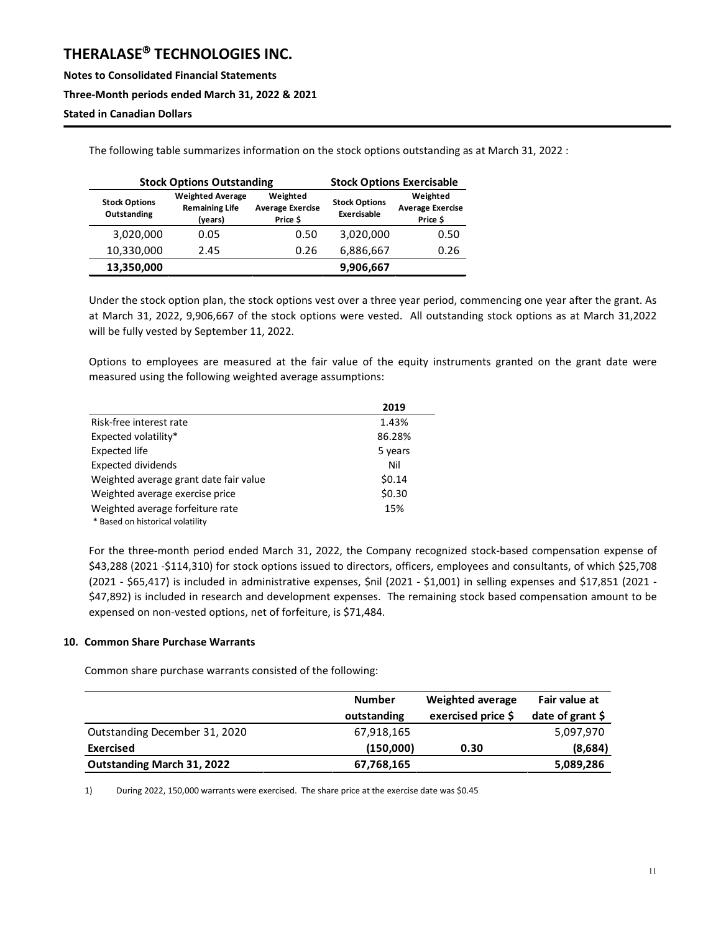**Notes to Consolidated Financial Statements Three-Month periods ended March 31, 2022 & 2021** 

## **Stated in Canadian Dollars**

The following table summarizes information on the stock options outstanding as at March 31, 2022 :

|                                     | <b>Stock Options Outstanding</b>                            | <b>Stock Options Exercisable</b>                |                                     |                                                 |  |
|-------------------------------------|-------------------------------------------------------------|-------------------------------------------------|-------------------------------------|-------------------------------------------------|--|
| <b>Stock Options</b><br>Outstanding | <b>Weighted Average</b><br><b>Remaining Life</b><br>(years) | Weighted<br><b>Average Exercise</b><br>Price \$ | <b>Stock Options</b><br>Exercisable | Weighted<br><b>Average Exercise</b><br>Price \$ |  |
| 3,020,000                           | 0.05                                                        | 0.50                                            | 3,020,000                           | 0.50                                            |  |
| 10,330,000                          | 2.45                                                        | 0.26                                            | 6,886,667                           | 0.26                                            |  |
| 13,350,000                          |                                                             |                                                 | 9,906,667                           |                                                 |  |

Under the stock option plan, the stock options vest over a three year period, commencing one year after the grant. As at March 31, 2022, 9,906,667 of the stock options were vested. All outstanding stock options as at March 31,2022 will be fully vested by September 11, 2022.

Options to employees are measured at the fair value of the equity instruments granted on the grant date were measured using the following weighted average assumptions:

|                                        | 2019    |
|----------------------------------------|---------|
| Risk-free interest rate                | 1.43%   |
| Expected volatility*                   | 86.28%  |
| <b>Expected life</b>                   | 5 years |
| <b>Expected dividends</b>              | Nil     |
| Weighted average grant date fair value | \$0.14  |
| Weighted average exercise price        | \$0.30  |
| Weighted average forfeiture rate       | 15%     |
| * Based on historical volatility       |         |

For the three-month period ended March 31, 2022, the Company recognized stock-based compensation expense of \$43,288 (2021 -\$114,310) for stock options issued to directors, officers, employees and consultants, of which \$25,708 (2021 - \$65,417) is included in administrative expenses, \$nil (2021 - \$1,001) in selling expenses and \$17,851 (2021 - \$47,892) is included in research and development expenses. The remaining stock based compensation amount to be expensed on non-vested options, net of forfeiture, is \$71,484.

#### **10. Common Share Purchase Warrants**

Common share purchase warrants consisted of the following:

|                                   | <b>Number</b> | Weighted average   | Fair value at    |
|-----------------------------------|---------------|--------------------|------------------|
|                                   | outstanding   | exercised price \$ | date of grant \$ |
| Outstanding December 31, 2020     | 67,918,165    |                    | 5,097,970        |
| <b>Exercised</b>                  | (150,000)     | 0.30               | (8,684)          |
| <b>Outstanding March 31, 2022</b> | 67,768,165    |                    | 5,089,286        |

1) During 2022, 150,000 warrants were exercised. The share price at the exercise date was \$0.45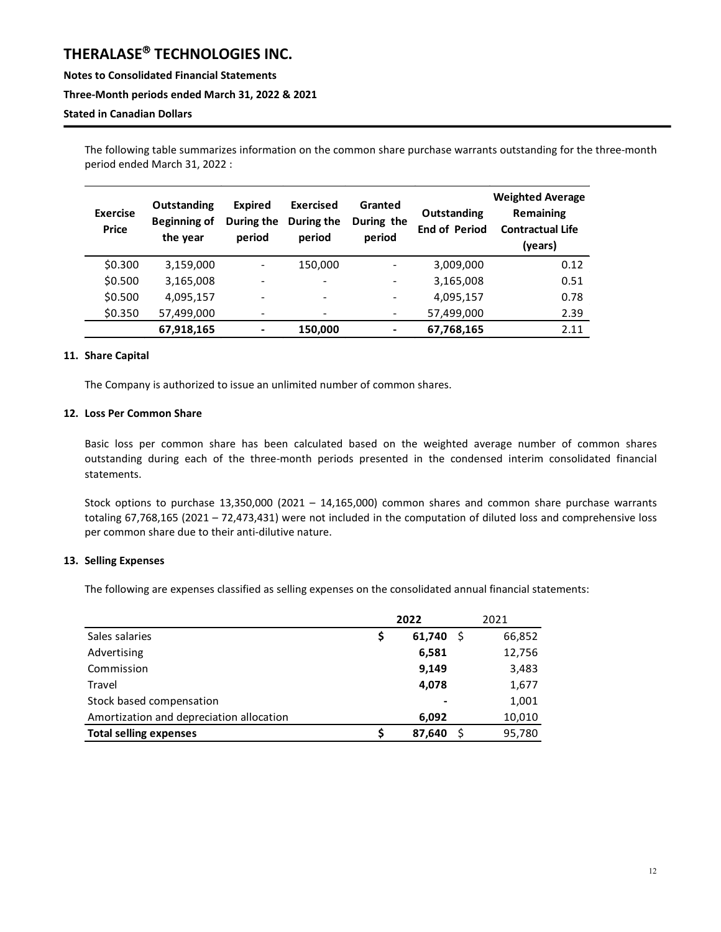**Notes to Consolidated Financial Statements** 

#### **Three-Month periods ended March 31, 2022 & 2021**

#### **Stated in Canadian Dollars**

The following table summarizes information on the common share purchase warrants outstanding for the three-month period ended March 31, 2022 :

| <b>Exercise</b><br><b>Price</b> | Outstanding<br><b>Beginning of</b><br>the year | <b>Expired</b><br>During the<br>period | Exercised<br>During the<br>period | Granted<br>During the<br>period | Outstanding<br><b>End of Period</b> | <b>Weighted Average</b><br><b>Remaining</b><br><b>Contractual Life</b><br>(years) |
|---------------------------------|------------------------------------------------|----------------------------------------|-----------------------------------|---------------------------------|-------------------------------------|-----------------------------------------------------------------------------------|
| \$0.300                         | 3,159,000                                      |                                        | 150,000                           |                                 | 3,009,000                           | 0.12                                                                              |
| \$0.500                         | 3,165,008                                      |                                        | $\blacksquare$                    |                                 | 3,165,008                           | 0.51                                                                              |
| \$0.500                         | 4,095,157                                      |                                        | $\overline{\phantom{a}}$          |                                 | 4,095,157                           | 0.78                                                                              |
| \$0.350                         | 57,499,000                                     |                                        | $\overline{\phantom{a}}$          |                                 | 57,499,000                          | 2.39                                                                              |
|                                 | 67,918,165                                     | -                                      | 150,000                           | ۰                               | 67,768,165                          | 2.11                                                                              |

#### **11. Share Capital**

The Company is authorized to issue an unlimited number of common shares.

#### **12. Loss Per Common Share**

Basic loss per common share has been calculated based on the weighted average number of common shares outstanding during each of the three-month periods presented in the condensed interim consolidated financial statements.

Stock options to purchase 13,350,000 (2021 – 14,165,000) common shares and common share purchase warrants totaling 67,768,165 (2021 – 72,473,431) were not included in the computation of diluted loss and comprehensive loss per common share due to their anti-dilutive nature.

#### **13. Selling Expenses**

The following are expenses classified as selling expenses on the consolidated annual financial statements:

|                                          |    | 2022   | 2021   |
|------------------------------------------|----|--------|--------|
| Sales salaries                           | \$ | 61,740 | 66,852 |
| Advertising                              |    | 6,581  | 12,756 |
| Commission                               |    | 9,149  | 3,483  |
| Travel                                   |    | 4,078  | 1,677  |
| Stock based compensation                 |    |        | 1,001  |
| Amortization and depreciation allocation |    | 6,092  | 10,010 |
| <b>Total selling expenses</b>            | S  | 87,640 | 95,780 |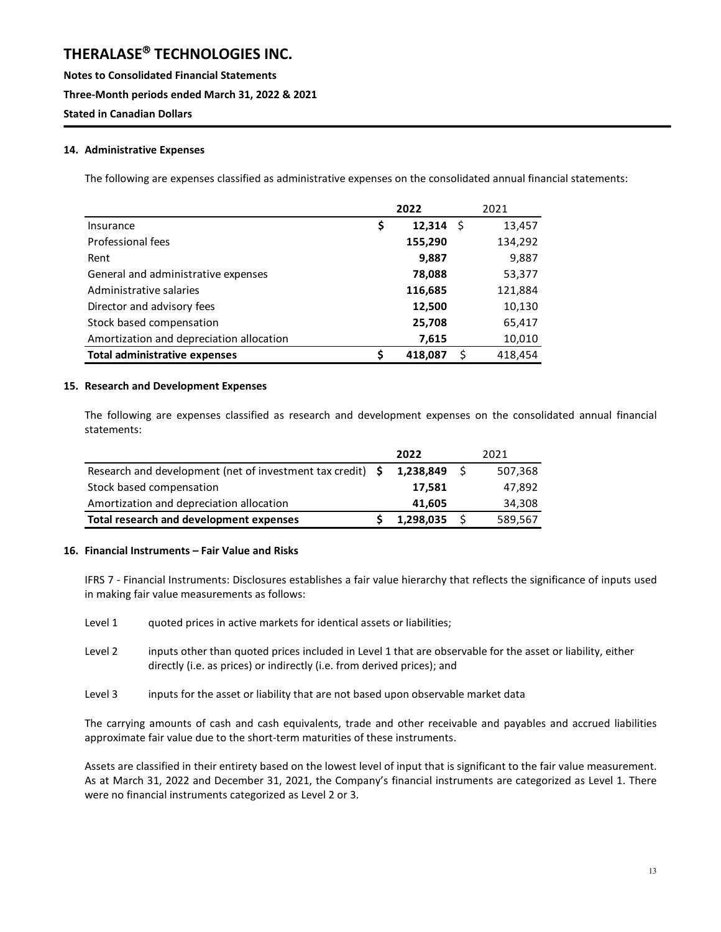**Notes to Consolidated Financial Statements Three-Month periods ended March 31, 2022 & 2021 Stated in Canadian Dollars**

#### **14. Administrative Expenses**

The following are expenses classified as administrative expenses on the consolidated annual financial statements:

|                                          | 2022               | 2021    |
|------------------------------------------|--------------------|---------|
| Insurance                                | \$<br>12,314<br>-S | 13,457  |
| Professional fees                        | 155,290            | 134,292 |
| Rent                                     | 9,887              | 9,887   |
| General and administrative expenses      | 78,088             | 53,377  |
| Administrative salaries                  | 116,685            | 121,884 |
| Director and advisory fees               | 12,500             | 10,130  |
| Stock based compensation                 | 25,708             | 65,417  |
| Amortization and depreciation allocation | 7,615              | 10,010  |
| <b>Total administrative expenses</b>     | \$<br>418,087<br>ς | 418,454 |

#### **15. Research and Development Expenses**

The following are expenses classified as research and development expenses on the consolidated annual financial statements:

|                                                                 | 2022      | 2021    |
|-----------------------------------------------------------------|-----------|---------|
| Research and development (net of investment tax credit) $\oint$ | 1.238.849 | 507,368 |
| Stock based compensation                                        | 17.581    | 47.892  |
| Amortization and depreciation allocation                        | 41.605    | 34,308  |
| Total research and development expenses                         | 1,298,035 | 589.567 |

#### **16. Financial Instruments – Fair Value and Risks**

IFRS 7 - Financial Instruments: Disclosures establishes a fair value hierarchy that reflects the significance of inputs used in making fair value measurements as follows:

- Level 1 quoted prices in active markets for identical assets or liabilities;
- Level 2 inputs other than quoted prices included in Level 1 that are observable for the asset or liability, either directly (i.e. as prices) or indirectly (i.e. from derived prices); and
- Level 3 inputs for the asset or liability that are not based upon observable market data

The carrying amounts of cash and cash equivalents, trade and other receivable and payables and accrued liabilities approximate fair value due to the short-term maturities of these instruments.

Assets are classified in their entirety based on the lowest level of input that is significant to the fair value measurement. As at March 31, 2022 and December 31, 2021, the Company's financial instruments are categorized as Level 1. There were no financial instruments categorized as Level 2 or 3.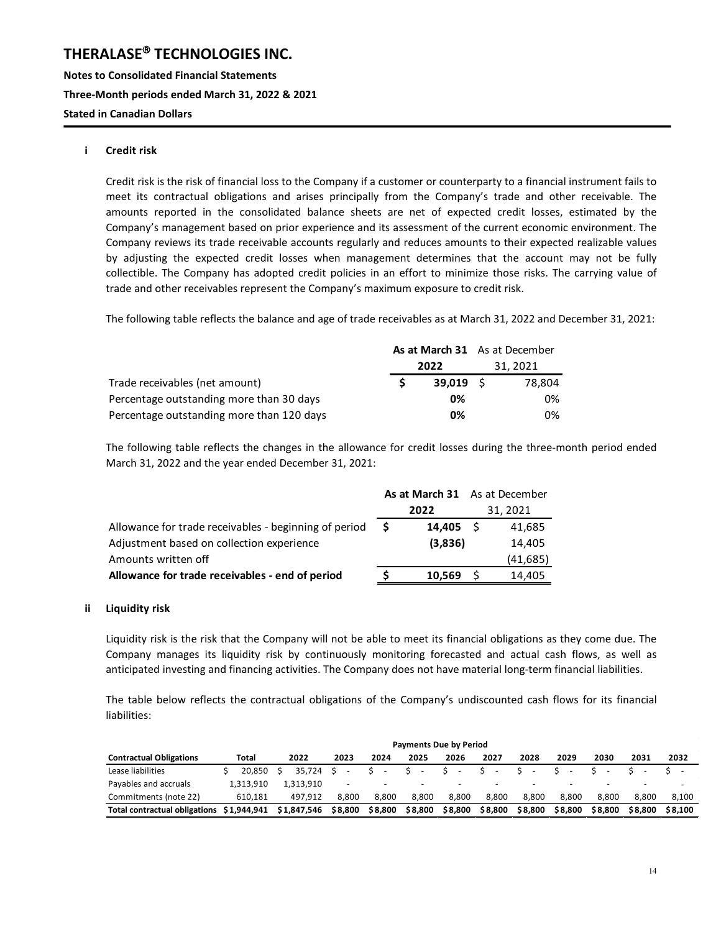**Notes to Consolidated Financial Statements Three-Month periods ended March 31, 2022 & 2021 Stated in Canadian Dollars**

#### **i Credit risk**

Credit risk is the risk of financial loss to the Company if a customer or counterparty to a financial instrument fails to meet its contractual obligations and arises principally from the Company's trade and other receivable. The amounts reported in the consolidated balance sheets are net of expected credit losses, estimated by the Company's management based on prior experience and its assessment of the current economic environment. The Company reviews its trade receivable accounts regularly and reduces amounts to their expected realizable values by adjusting the expected credit losses when management determines that the account may not be fully collectible. The Company has adopted credit policies in an effort to minimize those risks. The carrying value of trade and other receivables represent the Company's maximum exposure to credit risk.

The following table reflects the balance and age of trade receivables as at March 31, 2022 and December 31, 2021:

|                                           | As at March 31 As at December |             |  |          |
|-------------------------------------------|-------------------------------|-------------|--|----------|
|                                           | 2022                          |             |  | 31, 2021 |
| Trade receivables (net amount)            |                               | $39.019$ \$ |  | 78.804   |
| Percentage outstanding more than 30 days  |                               | 0%          |  | 0%       |
| Percentage outstanding more than 120 days |                               | 0%          |  | 0%       |

The following table reflects the changes in the allowance for credit losses during the three-month period ended March 31, 2022 and the year ended December 31, 2021:

|                                                       |    |                  |          | As at March 31 As at December |  |  |
|-------------------------------------------------------|----|------------------|----------|-------------------------------|--|--|
|                                                       |    | 2022             | 31, 2021 |                               |  |  |
| Allowance for trade receivables - beginning of period | -S | $14.405 \quad S$ |          | 41,685                        |  |  |
| Adjustment based on collection experience             |    | (3,836)          |          | 14,405                        |  |  |
| Amounts written off                                   |    |                  |          | (41, 685)                     |  |  |
| Allowance for trade receivables - end of period       |    | 10.569           | - S      | 14.405                        |  |  |

#### **ii Liquidity risk**

Liquidity risk is the risk that the Company will not be able to meet its financial obligations as they come due. The Company manages its liquidity risk by continuously monitoring forecasted and actual cash flows, as well as anticipated investing and financing activities. The Company does not have material long-term financial liabilities.

The table below reflects the contractual obligations of the Company's undiscounted cash flows for its financial liabilities:

|                                      | <b>Payments Due by Period</b> |           |  |             |                          |  |                          |         |         |                          |                          |         |                          |                          |         |
|--------------------------------------|-------------------------------|-----------|--|-------------|--------------------------|--|--------------------------|---------|---------|--------------------------|--------------------------|---------|--------------------------|--------------------------|---------|
| <b>Contractual Obligations</b>       | Total                         |           |  | 2022        | 2023                     |  | 2024                     | 2025    | 2026    | 2027                     | 2028                     | 2029    | 2030                     | 2031                     | 2032    |
| Lease liabilities                    |                               | 20.850    |  | 35.724      |                          |  | $\overline{\phantom{a}}$ | $S -$   | $S -$   | $\sim$                   |                          |         |                          |                          |         |
| Payables and accruals                |                               | 1.313.910 |  | 1.313.910   | $\overline{\phantom{0}}$ |  | $\overline{\phantom{0}}$ |         |         | $\overline{\phantom{0}}$ | $\overline{\phantom{0}}$ |         | $\overline{\phantom{0}}$ | $\overline{\phantom{0}}$ |         |
| Commitments (note 22)                |                               | 610.181   |  | 497.912     | 8.800                    |  | 8.800                    | 8.800   | 8.800   | 8.800                    | 8.800                    | 8.800   | 8.800                    | 8.800                    | 8.100   |
| <b>Total contractual obligations</b> | \$1,944.941                   |           |  | \$1,847,546 | \$8,800                  |  | \$8,800                  | \$8,800 | \$8,800 | \$8,800                  | \$8.800                  | \$8.800 | \$8,800                  | \$8.800                  | \$8.100 |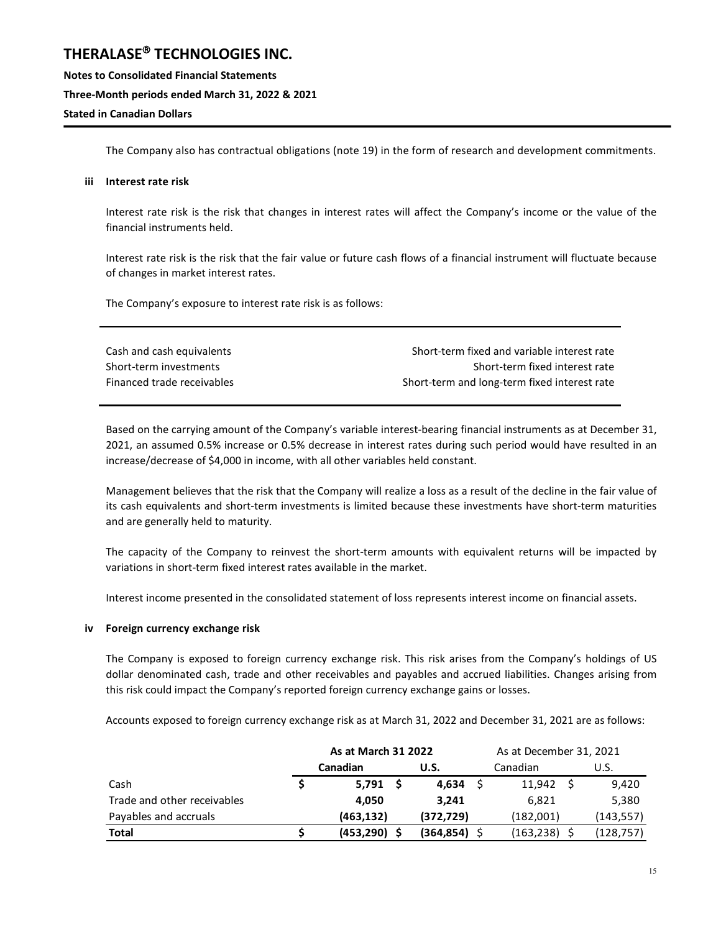**Notes to Consolidated Financial Statements Three-Month periods ended March 31, 2022 & 2021 Stated in Canadian Dollars**

The Company also has contractual obligations (note 19) in the form of research and development commitments.

#### **iii Interest rate risk**

Interest rate risk is the risk that changes in interest rates will affect the Company's income or the value of the financial instruments held.

Interest rate risk is the risk that the fair value or future cash flows of a financial instrument will fluctuate because of changes in market interest rates.

The Company's exposure to interest rate risk is as follows:

| Cash and cash equivalents  | Short-term fixed and variable interest rate  |
|----------------------------|----------------------------------------------|
| Short-term investments     | Short-term fixed interest rate               |
| Financed trade receivables | Short-term and long-term fixed interest rate |

Based on the carrying amount of the Company's variable interest-bearing financial instruments as at December 31, 2021, an assumed 0.5% increase or 0.5% decrease in interest rates during such period would have resulted in an increase/decrease of \$4,000 in income, with all other variables held constant.

Management believes that the risk that the Company will realize a loss as a result of the decline in the fair value of its cash equivalents and short-term investments is limited because these investments have short-term maturities and are generally held to maturity.

The capacity of the Company to reinvest the short-term amounts with equivalent returns will be impacted by variations in short-term fixed interest rates available in the market.

Interest income presented in the consolidated statement of loss represents interest income on financial assets.

#### **iv Foreign currency exchange risk**

The Company is exposed to foreign currency exchange risk. This risk arises from the Company's holdings of US dollar denominated cash, trade and other receivables and payables and accrued liabilities. Changes arising from this risk could impact the Company's reported foreign currency exchange gains or losses.

Accounts exposed to foreign currency exchange risk as at March 31, 2022 and December 31, 2021 are as follows:

|                             | As at March 31 2022 |            | As at December 31, 2021 |      |            |  |  |
|-----------------------------|---------------------|------------|-------------------------|------|------------|--|--|
|                             | Canadian            | U.S.       | Canadian                | U.S. |            |  |  |
| Cash                        | $5,791$ \$          | 4,634      | 11,942                  |      | 9,420      |  |  |
| Trade and other receivables | 4.050               | 3.241      | 6,821                   |      | 5,380      |  |  |
| Payables and accruals       | (463, 132)          | (372, 729) | (182,001)               |      | (143, 557) |  |  |
| <b>Total</b>                | (453, 290)          | (364, 854) | $(163, 238)$ \$         |      | (128, 757) |  |  |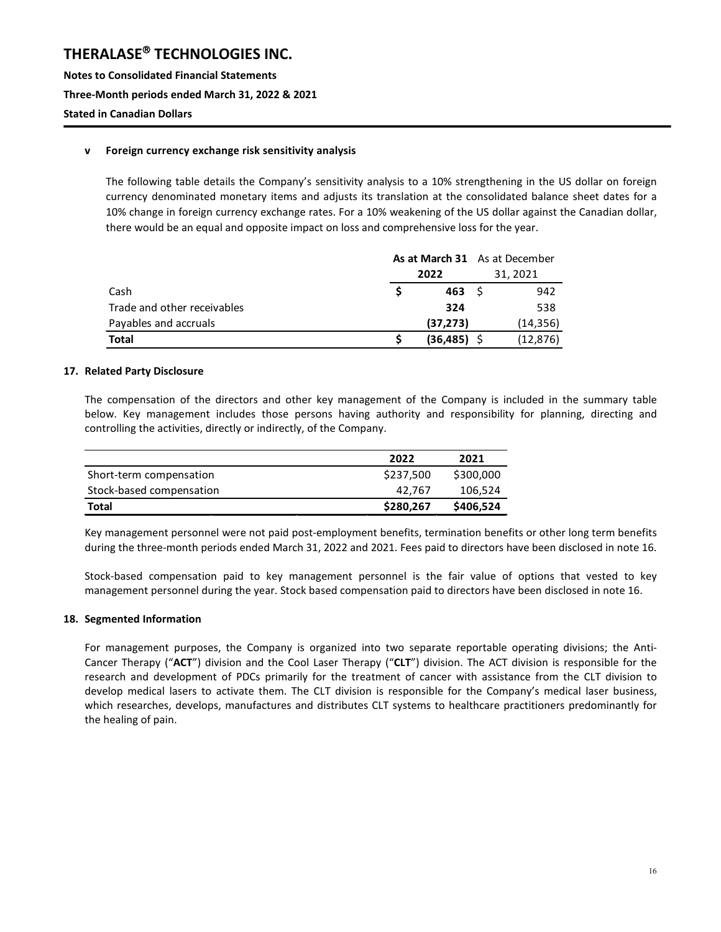**Notes to Consolidated Financial Statements Three-Month periods ended March 31, 2022 & 2021 Stated in Canadian Dollars**

#### **v Foreign currency exchange risk sensitivity analysis**

The following table details the Company's sensitivity analysis to a 10% strengthening in the US dollar on foreign currency denominated monetary items and adjusts its translation at the consolidated balance sheet dates for a 10% change in foreign currency exchange rates. For a 10% weakening of the US dollar against the Canadian dollar, there would be an equal and opposite impact on loss and comprehensive loss for the year.

|                             |                |          | As at March 31 As at December |  |
|-----------------------------|----------------|----------|-------------------------------|--|
|                             | 2022           | 31, 2021 |                               |  |
| Cash                        | 463            |          | 942                           |  |
| Trade and other receivables | 324            |          | 538                           |  |
| Payables and accruals       | (37, 273)      |          | (14, 356)                     |  |
| <b>Total</b>                | $(36, 485)$ \$ |          | (12, 876)                     |  |

#### **17. Related Party Disclosure**

The compensation of the directors and other key management of the Company is included in the summary table below. Key management includes those persons having authority and responsibility for planning, directing and controlling the activities, directly or indirectly, of the Company.

|                          | 2022      | 2021      |
|--------------------------|-----------|-----------|
| Short-term compensation  | \$237,500 | \$300,000 |
| Stock-based compensation | 42.767    | 106,524   |
| Total                    | \$280,267 | \$406,524 |

Key management personnel were not paid post-employment benefits, termination benefits or other long term benefits during the three-month periods ended March 31, 2022 and 2021. Fees paid to directors have been disclosed in note 16.

Stock-based compensation paid to key management personnel is the fair value of options that vested to key management personnel during the year. Stock based compensation paid to directors have been disclosed in note 16.

#### **18. Segmented Information**

For management purposes, the Company is organized into two separate reportable operating divisions; the Anti-Cancer Therapy ("**ACT**") division and the Cool Laser Therapy ("**CLT**") division. The ACT division is responsible for the research and development of PDCs primarily for the treatment of cancer with assistance from the CLT division to develop medical lasers to activate them. The CLT division is responsible for the Company's medical laser business, which researches, develops, manufactures and distributes CLT systems to healthcare practitioners predominantly for the healing of pain.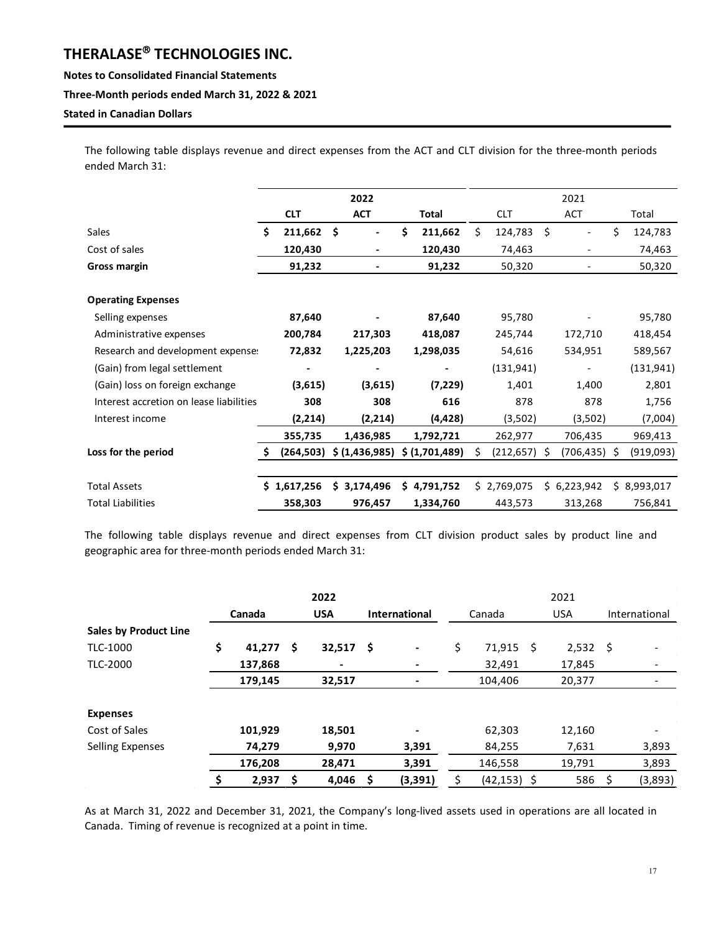#### **Notes to Consolidated Financial Statements**

#### **Three-Month periods ended March 31, 2022 & 2021**

#### **Stated in Canadian Dollars**

The following table displays revenue and direct expenses from the ACT and CLT division for the three-month periods ended March 31:

|                                         |    |                          |     | 2022          |       |               | 2021 |                 |            |              |    |             |  |
|-----------------------------------------|----|--------------------------|-----|---------------|-------|---------------|------|-----------------|------------|--------------|----|-------------|--|
|                                         |    | <b>CLT</b><br><b>ACT</b> |     |               | Total |               |      | <b>CLT</b>      | <b>ACT</b> |              |    | Total       |  |
| Sales                                   | Ś. | 211,662                  | Ŝ.  |               | \$    | 211,662       | Ś.   | 124,783         | \$         |              | Ś. | 124,783     |  |
| Cost of sales                           |    | 120,430                  |     |               |       | 120,430       |      | 74,463          |            |              |    | 74,463      |  |
| Gross margin                            |    | 91,232                   |     |               |       | 91,232        |      | 50,320          |            |              |    | 50,320      |  |
|                                         |    |                          |     |               |       |               |      |                 |            |              |    |             |  |
| <b>Operating Expenses</b>               |    |                          |     |               |       |               |      |                 |            |              |    |             |  |
| Selling expenses                        |    | 87,640                   |     |               |       | 87,640        |      | 95,780          |            |              |    | 95,780      |  |
| Administrative expenses                 |    | 200,784                  |     | 217,303       |       | 418,087       |      | 245,744         |            | 172,710      |    | 418,454     |  |
| Research and development expense:       |    | 72,832                   |     | 1,225,203     |       | 1,298,035     |      | 54,616          |            | 534,951      |    | 589,567     |  |
| (Gain) from legal settlement            |    |                          |     |               |       |               |      | (131, 941)      |            |              |    | (131, 941)  |  |
| (Gain) loss on foreign exchange         |    | (3,615)                  |     | (3,615)       |       | (7,229)       |      | 1,401           |            | 1,400        |    | 2,801       |  |
| Interest accretion on lease liabilities |    | 308                      |     | 308           |       | 616           |      | 878             |            | 878          |    | 1,756       |  |
| Interest income                         |    | (2,214)                  |     | (2,214)       |       | (4, 428)      |      | (3,502)         |            | (3,502)      |    | (7,004)     |  |
|                                         |    | 355,735                  |     | 1,436,985     |       | 1,792,721     |      | 262,977         |            | 706,435      |    | 969,413     |  |
| Loss for the period                     |    | (264, 503)               |     | \$(1,436,985) |       | \$(1,701,489) | Ś    | $(212, 657)$ \$ |            | (706,435) \$ |    | (919,093)   |  |
|                                         |    |                          |     |               |       |               |      |                 |            |              |    |             |  |
| <b>Total Assets</b>                     |    | \$1,617,256              | \$. | 3,174,496     |       | \$4,791,752   |      | \$2,769,075     |            | \$6,223,942  |    | \$8,993,017 |  |
| <b>Total Liabilities</b>                |    | 358,303                  |     | 976,457       |       | 1,334,760     |      | 443,573         |            | 313,268      |    | 756,841     |  |

The following table displays revenue and direct expenses from CLT division product sales by product line and geographic area for three-month periods ended March 31:

|                              |        |         |     | 2022                     |      |                      | 2021 |                |  |            |               |                          |  |  |  |
|------------------------------|--------|---------|-----|--------------------------|------|----------------------|------|----------------|--|------------|---------------|--------------------------|--|--|--|
|                              | Canada |         |     | <b>USA</b>               |      | <b>International</b> |      | Canada         |  | <b>USA</b> | International |                          |  |  |  |
| <b>Sales by Product Line</b> |        |         |     |                          |      |                      |      |                |  |            |               |                          |  |  |  |
| TLC-1000                     | \$     | 41,277  | \$. | 32,517                   | - \$ | $\blacksquare$       | \$   | $71,915$ \$    |  | $2,532$ \$ |               |                          |  |  |  |
| TLC-2000                     |        | 137,868 |     | $\overline{\phantom{a}}$ |      |                      |      | 32,491         |  | 17,845     |               |                          |  |  |  |
|                              |        | 179,145 |     | 32,517                   |      |                      |      | 104,406        |  | 20,377     |               | $\overline{\phantom{a}}$ |  |  |  |
| <b>Expenses</b>              |        |         |     |                          |      |                      |      |                |  |            |               |                          |  |  |  |
| Cost of Sales                |        | 101,929 |     | 18,501                   |      |                      |      | 62,303         |  | 12,160     |               |                          |  |  |  |
| Selling Expenses             |        | 74,279  |     | 9,970                    |      | 3,391                |      | 84,255         |  | 7,631      |               | 3,893                    |  |  |  |
|                              |        | 176,208 |     | 28,471                   |      | 3,391                |      | 146,558        |  | 19,791     |               | 3,893                    |  |  |  |
|                              | \$     | 2,937   | \$. | 4.046                    | -S   | (3, 391)             |      | $(42, 153)$ \$ |  | 586        | \$            | (3,893)                  |  |  |  |

As at March 31, 2022 and December 31, 2021, the Company's long-lived assets used in operations are all located in Canada. Timing of revenue is recognized at a point in time.